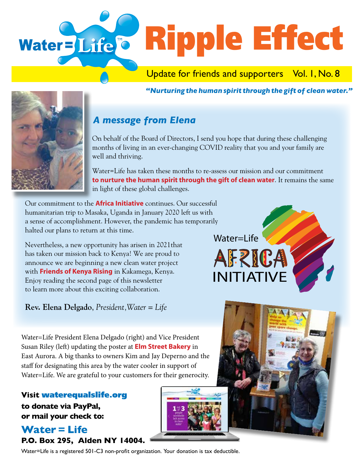

*"Nurturing the human spirit through the gift of clean water."* 



## *A message from Elena*

On behalf of the Board of Directors, I send you hope that during these challenging months of living in an ever-changing COVID reality that you and your family are well and thriving.

Water=Life has taken these months to re-assess our mission and our commitment **to nurture the human spirit through the gift of clean water**. It remains the same in light of these global challenges.

Our commitment to the **Africa Initiative** continues. Our successful humanitarian trip to Masaka, Uganda in January 2020 left us with a sense of accomplishment. However, the pandemic has temporarily halted our plans to return at this time.

Nevertheless, a new opportunity has arisen in 2021that has taken our mission back to Kenya! We are proud to announce we are beginning a new clean water project with **Friends of Kenya Rising** in Kakamega, Kenya. Enjoy reading the second page of this newsletter to learn more about this exciting collaboration.

**Rev. Elena Delgado**, *President,Water = Life*

Water=Life President Elena Delgado (right) and Vice President Susan Riley (left) updating the poster at **Elm Street Bakery** in East Aurora. A big thanks to owners Kim and Jay Deperno and the staff for designating this area by the water cooler in support of Water=Life. We are grateful to your customers for their generocity.

**Visit** waterequalslife.org **to donate via PayPal, or mail your check to:**

## **Water = Life P.O. Box 295, Alden NY 14004.**

Water=Life is a registered 501-C3 non-profit organization. Your donation is tax deductible.